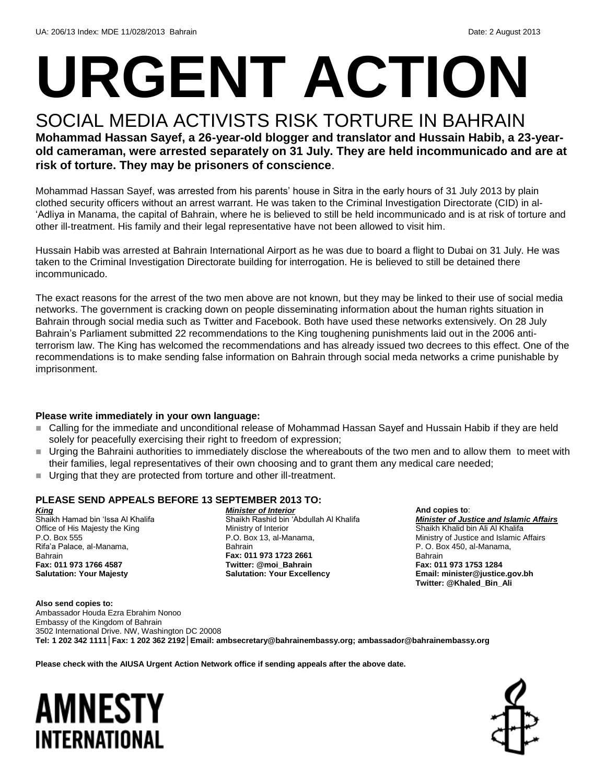# **URGENT ACTION**

# SOCIAL MEDIA ACTIVISTS RISK TORTURE IN BAHRAIN

**Mohammad Hassan Sayef, a 26-year-old blogger and translator and Hussain Habib, a 23-yearold cameraman, were arrested separately on 31 July. They are held incommunicado and are at risk of torture. They may be prisoners of conscience**.

Mohammad Hassan Sayef, was arrested from his parents' house in Sitra in the early hours of 31 July 2013 by plain clothed security officers without an arrest warrant. He was taken to the Criminal Investigation Directorate (CID) in al- 'Adliya in Manama, the capital of Bahrain, where he is believed to still be held incommunicado and is at risk of torture and other ill-treatment. His family and their legal representative have not been allowed to visit him.

Hussain Habib was arrested at Bahrain International Airport as he was due to board a flight to Dubai on 31 July. He was taken to the Criminal Investigation Directorate building for interrogation. He is believed to still be detained there incommunicado.

The exact reasons for the arrest of the two men above are not known, but they may be linked to their use of social media networks. The government is cracking down on people disseminating information about the human rights situation in Bahrain through social media such as Twitter and Facebook. Both have used these networks extensively. On 28 July Bahrain's Parliament submitted 22 recommendations to the King toughening punishments laid out in the 2006 antiterrorism law. The King has welcomed the recommendations and has already issued two decrees to this effect. One of the recommendations is to make sending false information on Bahrain through social meda networks a crime punishable by imprisonment.

### **Please write immediately in your own language:**

- Calling for the immediate and unconditional release of Mohammad Hassan Sayef and Hussain Habib if they are held solely for peacefully exercising their right to freedom of expression;
- Urging the Bahraini authorities to immediately disclose the whereabouts of the two men and to allow them to meet with their families, legal representatives of their own choosing and to grant them any medical care needed;
- Urging that they are protected from torture and other ill-treatment.

### **PLEASE SEND APPEALS BEFORE 13 SEPTEMBER 2013 TO:**

*King* Shaikh Hamad bin 'Issa Al Khalifa Office of His Majesty the King P.O. Box 555 Rifa'a Palace, al-Manama, Bahrain **Fax: 011 973 1766 4587 Salutation: Your Majesty**

*Minister of Interior* Shaikh Rashid bin 'Abdullah Al Khalifa Ministry of Interior P.O. Box 13, al-Manama, Bahrain **Fax: 011 973 1723 2661 Twitter: @moi\_Bahrain Salutation: Your Excellency**

**And copies to**: *Minister of Justice and Islamic Affairs* Shaikh Khalid bin Ali Al Khalifa Ministry of Justice and Islamic Affairs P. O. Box 450, al-Manama, Bahrain **Fax: 011 973 1753 1284**

**Email: minister@justice.gov.bh Twitter: @Khaled\_Bin\_Ali**

**Also send copies to:** Ambassador Houda Ezra Ebrahim Nonoo Embassy of the Kingdom of Bahrain 3502 International Drive. NW, Washington DC 20008 **Tel: 1 202 342 1111│Fax: 1 202 362 2192│Email: ambsecretary@bahrainembassy.org; ambassador@bahrainembassy.org**

**Please check with the AIUSA Urgent Action Network office if sending appeals after the above date.**